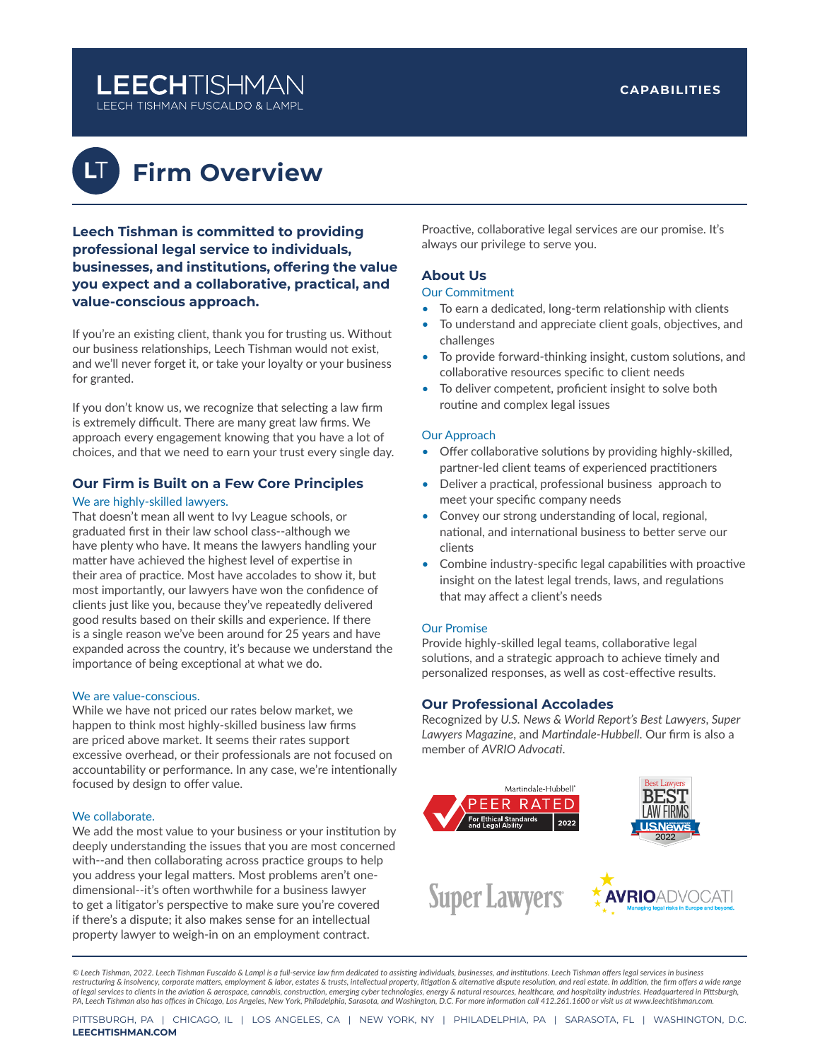# **LEECHTISHMAN**

LEECH TISHMAN FUSCALDO & LAMPL

**L**T

# **Firm Overview**

**Leech Tishman is committed to providing professional legal service to individuals, businesses, and institutions, offering the value you expect and a collaborative, practical, and value-conscious approach.**

If you're an existing client, thank you for trusting us. Without our business relationships, Leech Tishman would not exist, and we'll never forget it, or take your loyalty or your business for granted.

If you don't know us, we recognize that selecting a law firm is extremely difficult. There are many great law firms. We approach every engagement knowing that you have a lot of choices, and that we need to earn your trust every single day.

# **Our Firm is Built on a Few Core Principles**

#### We are highly-skilled lawyers.

That doesn't mean all went to Ivy League schools, or graduated first in their law school class--although we have plenty who have. It means the lawyers handling your matter have achieved the highest level of expertise in their area of practice. Most have accolades to show it, but most importantly, our lawyers have won the confidence of clients just like you, because they've repeatedly delivered good results based on their skills and experience. If there is a single reason we've been around for 25 years and have expanded across the country, it's because we understand the importance of being exceptional at what we do.

#### We are value-conscious.

While we have not priced our rates below market, we happen to think most highly-skilled business law firms are priced above market. It seems their rates support excessive overhead, or their professionals are not focused on accountability or performance. In any case, we're intentionally focused by design to offer value.

#### We collaborate.

We add the most value to your business or your institution by deeply understanding the issues that you are most concerned with--and then collaborating across practice groups to help you address your legal matters. Most problems aren't onedimensional--it's often worthwhile for a business lawyer to get a litigator's perspective to make sure you're covered if there's a dispute; it also makes sense for an intellectual property lawyer to weigh-in on an employment contract.

Proactive, collaborative legal services are our promise. It's always our privilege to serve you.

### **About Us**

#### Our Commitment

- To earn a dedicated, long-term relationship with clients
- To understand and appreciate client goals, objectives, and challenges
- To provide forward-thinking insight, custom solutions, and collaborative resources specific to client needs
- To deliver competent, proficient insight to solve both routine and complex legal issues

#### Our Approach

- Offer collaborative solutions by providing highly-skilled, partner-led client teams of experienced practitioners
- Deliver a practical, professional business approach to meet your specific company needs
- Convey our strong understanding of local, regional, national, and international business to better serve our clients
- Combine industry-specific legal capabilities with proactive insight on the latest legal trends, laws, and regulations that may affect a client's needs

#### Our Promise

Provide highly-skilled legal teams, collaborative legal solutions, and a strategic approach to achieve timely and personalized responses, as well as cost-effective results.

#### **Our Professional Accolades**

Recognized by *U.S. News & World Report's Best Lawyers*, *Super Lawyers Magazine*, and *Martindale-Hubbell*. Our firm is also a member of *AVRIO Advocati*.



*© Leech Tishman, 2022. Leech Tishman Fuscaldo & Lampl is a full-service law firm dedicated to assisting individuals, businesses, and institutions. Leech Tishman offers legal services in business restructuring & insolvency, corporate matters, employment & labor, estates & trusts, intellectual property, litigation & alternative dispute resolution, and real estate. In addition, the firm offers a wide range*  of legal services to clients in the aviation & aerospace, cannabis, construction, emerging cyber technologies, energy & natural resources, healthcare, and hospitality industries. Headquartered in Pittsburgh,<br>PA, Leech Tish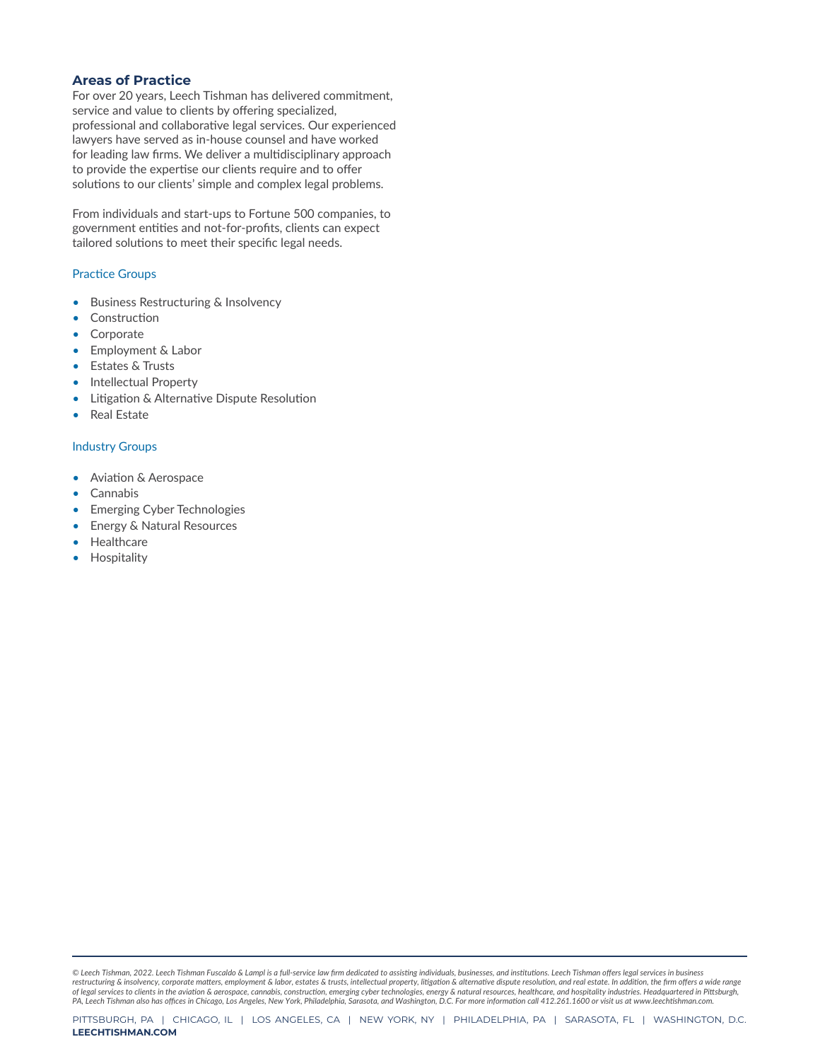### **Areas of Practice**

For over 20 years, Leech Tishman has delivered commitment, service and value to clients by offering specialized, professional and collaborative legal services. Our experienced lawyers have served as in-house counsel and have worked for leading law firms. We deliver a multidisciplinary approach to provide the expertise our clients require and to offer solutions to our clients' simple and complex legal problems.

From individuals and start-ups to Fortune 500 companies, to government entities and not-for-profits, clients can expect tailored solutions to meet their specific legal needs.

#### Practice Groups

- Business Restructuring & Insolvency
- **Construction**
- **Corporate**
- Employment & Labor
- Estates & Trusts
- Intellectual Property
- Litigation & Alternative Dispute Resolution
- Real Estate

#### Industry Groups

- Aviation & Aerospace
- **Cannabis**
- Emerging Cyber Technologies
- Energy & Natural Resources
- **Healthcare**
- **Hospitality**

*© Leech Tishman, 2022. Leech Tishman Fuscaldo & Lampl is a full-service law firm dedicated to assisting individuals, businesses, and institutions. Leech Tishman offers legal services in business restructuring & insolvency, corporate matters, employment & labor, estates & trusts, intellectual property, litigation & alternative dispute resolution, and real estate. In addition, the firm offers a wide range*  of legal services to clients in the aviation & aerospace, cannabis, construction, emerging cyber technologies, energy & natural resources, healthcare, and hospitality industries. Headquartered in Pittsburgh,<br>PA, Leech Tish